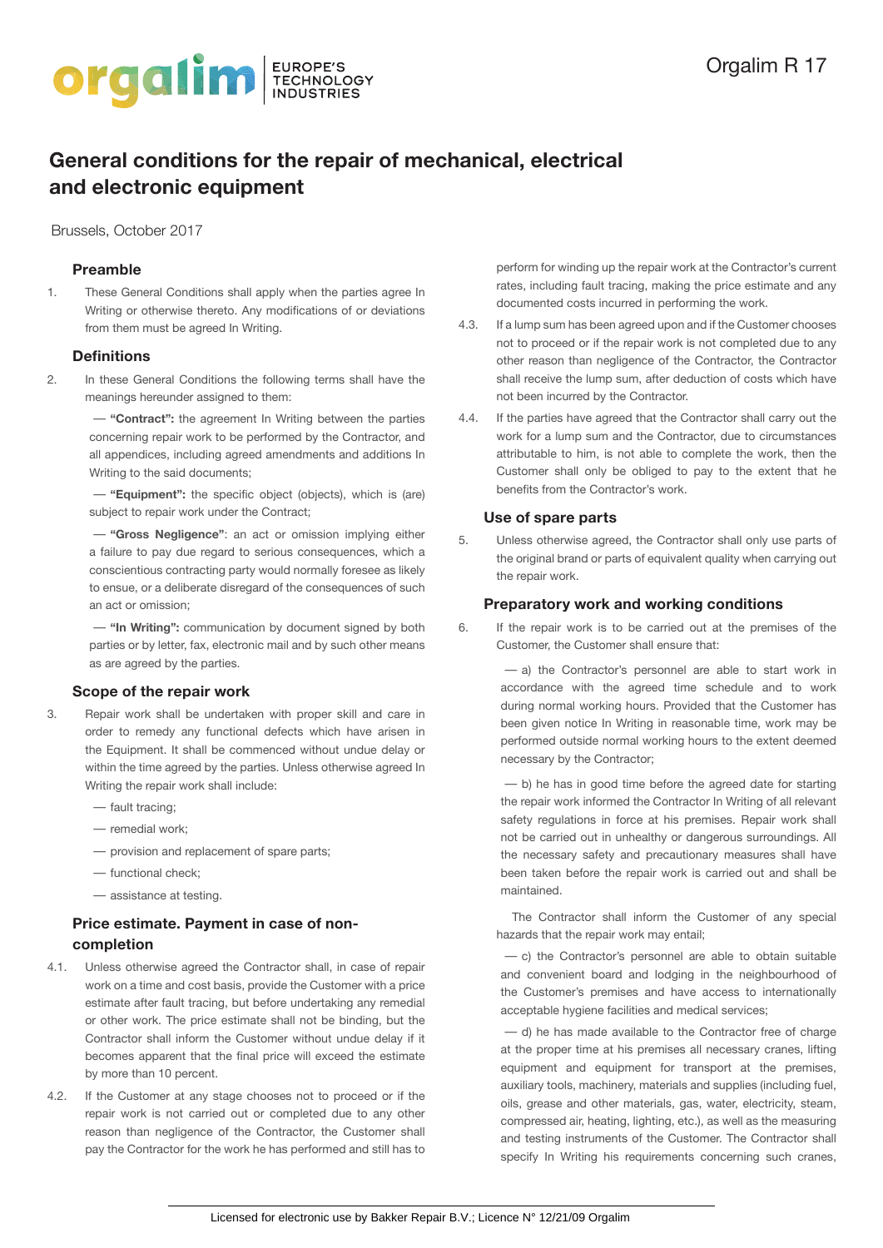

# **General conditions for the repair of mechanical, electrical and electronic equipment**

Brussels, October 2017

# **Preamble**

1. These General Conditions shall apply when the parties agree In Writing or otherwise thereto. Any modifications of or deviations from them must be agreed In Writing.

### **Definitions**

2. In these General Conditions the following terms shall have the meanings hereunder assigned to them:

> — **"Contract":** the agreement In Writing between the parties concerning repair work to be performed by the Contractor, and all appendices, including agreed amendments and additions In Writing to the said documents;

> — **"Equipment":** the specific object (objects), which is (are) subject to repair work under the Contract;

> — **"Gross Negligence"**: an act or omission implying either a failure to pay due regard to serious consequences, which a conscientious contracting party would normally foresee as likely to ensue, or a deliberate disregard of the consequences of such an act or omission;

> — **"In Writing":** communication by document signed by both parties or by letter, fax, electronic mail and by such other means as are agreed by the parties.

# **Scope of the repair work**

- 3. Repair work shall be undertaken with proper skill and care in order to remedy any functional defects which have arisen in the Equipment. It shall be commenced without undue delay or within the time agreed by the parties. Unless otherwise agreed In Writing the repair work shall include:
	- fault tracing;
	- remedial work;
	- provision and replacement of spare parts;
	- functional check;
	- assistance at testing.

# **Price estimate. Payment in case of noncompletion**

- 4.1. Unless otherwise agreed the Contractor shall, in case of repair work on a time and cost basis, provide the Customer with a price estimate after fault tracing, but before undertaking any remedial or other work. The price estimate shall not be binding, but the Contractor shall inform the Customer without undue delay if it becomes apparent that the final price will exceed the estimate by more than 10 percent.
- 4.2. If the Customer at any stage chooses not to proceed or if the repair work is not carried out or completed due to any other reason than negligence of the Contractor, the Customer shall pay the Contractor for the work he has performed and still has to

perform for winding up the repair work at the Contractor's current rates, including fault tracing, making the price estimate and any documented costs incurred in performing the work.

- 4.3. If a lump sum has been agreed upon and if the Customer chooses not to proceed or if the repair work is not completed due to any other reason than negligence of the Contractor, the Contractor shall receive the lump sum, after deduction of costs which have not been incurred by the Contractor.
- 4.4. If the parties have agreed that the Contractor shall carry out the work for a lump sum and the Contractor, due to circumstances attributable to him, is not able to complete the work, then the Customer shall only be obliged to pay to the extent that he benefits from the Contractor's work.

# **Use of spare parts**

5. Unless otherwise agreed, the Contractor shall only use parts of the original brand or parts of equivalent quality when carrying out the repair work.

#### **Preparatory work and working conditions**

6. If the repair work is to be carried out at the premises of the Customer, the Customer shall ensure that:

> — a) the Contractor's personnel are able to start work in accordance with the agreed time schedule and to work during normal working hours. Provided that the Customer has been given notice In Writing in reasonable time, work may be performed outside normal working hours to the extent deemed necessary by the Contractor;

> — b) he has in good time before the agreed date for starting the repair work informed the Contractor In Writing of all relevant safety regulations in force at his premises. Repair work shall not be carried out in unhealthy or dangerous surroundings. All the necessary safety and precautionary measures shall have been taken before the repair work is carried out and shall be maintained.

The Contractor shall inform the Customer of any special hazards that the repair work may entail;

— c) the Contractor's personnel are able to obtain suitable and convenient board and lodging in the neighbourhood of the Customer's premises and have access to internationally acceptable hygiene facilities and medical services;

— d) he has made available to the Contractor free of charge at the proper time at his premises all necessary cranes, lifting equipment and equipment for transport at the premises, auxiliary tools, machinery, materials and supplies (including fuel, oils, grease and other materials, gas, water, electricity, steam, compressed air, heating, lighting, etc.), as well as the measuring and testing instruments of the Customer. The Contractor shall specify In Writing his requirements concerning such cranes,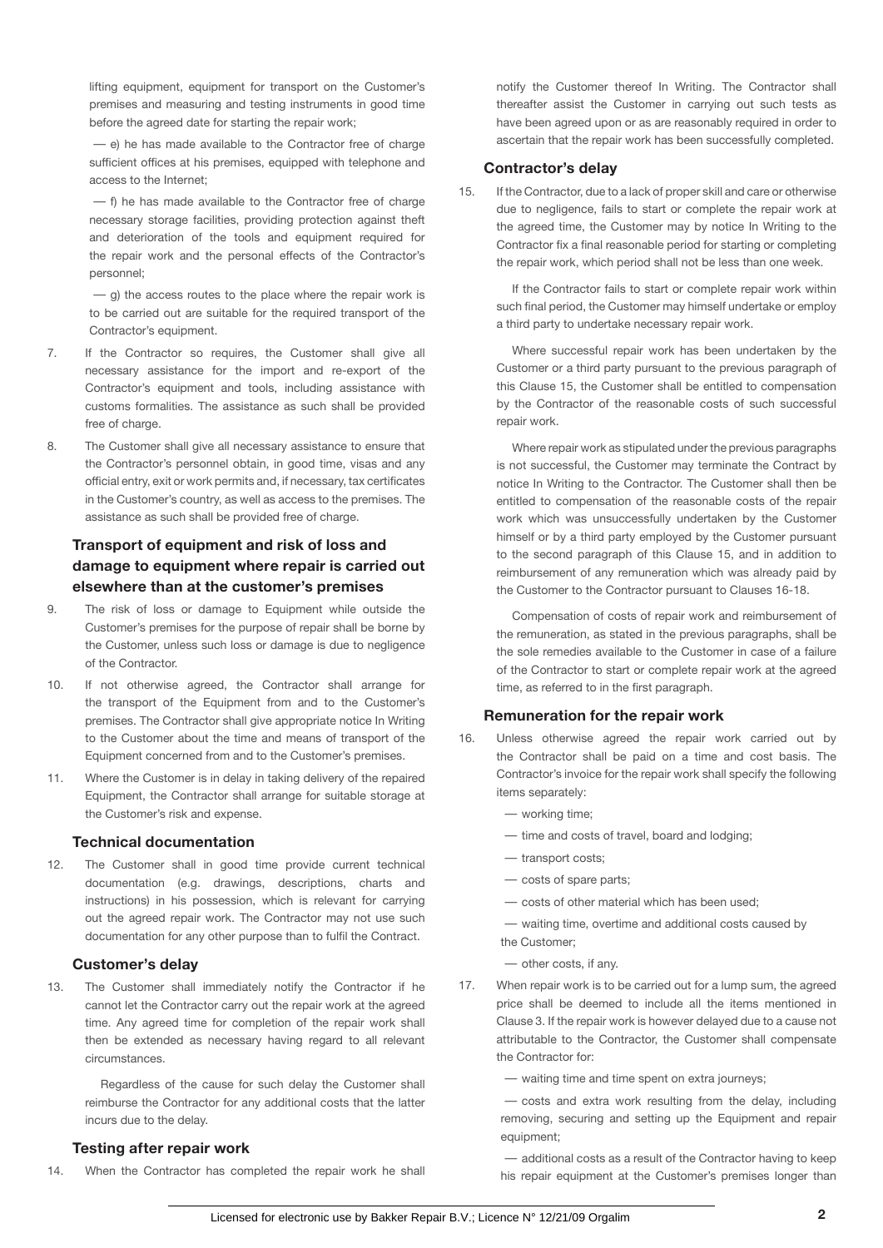lifting equipment, equipment for transport on the Customer's premises and measuring and testing instruments in good time before the agreed date for starting the repair work;

— e) he has made available to the Contractor free of charge sufficient offices at his premises, equipped with telephone and access to the Internet;

— f) he has made available to the Contractor free of charge necessary storage facilities, providing protection against theft and deterioration of the tools and equipment required for the repair work and the personal effects of the Contractor's personnel;

 $-$  g) the access routes to the place where the repair work is to be carried out are suitable for the required transport of the Contractor's equipment.

- 7. If the Contractor so requires, the Customer shall give all necessary assistance for the import and re-export of the Contractor's equipment and tools, including assistance with customs formalities. The assistance as such shall be provided free of charge.
- 8. The Customer shall give all necessary assistance to ensure that the Contractor's personnel obtain, in good time, visas and any official entry, exit or work permits and, if necessary, tax certificates in the Customer's country, as well as access to the premises. The assistance as such shall be provided free of charge.

# **Transport of equipment and risk of loss and damage to equipment where repair is carried out elsewhere than at the customer's premises**

- 9. The risk of loss or damage to Equipment while outside the Customer's premises for the purpose of repair shall be borne by the Customer, unless such loss or damage is due to negligence of the Contractor.
- 10. If not otherwise agreed, the Contractor shall arrange for the transport of the Equipment from and to the Customer's premises. The Contractor shall give appropriate notice In Writing to the Customer about the time and means of transport of the Equipment concerned from and to the Customer's premises.
- 11. Where the Customer is in delay in taking delivery of the repaired Equipment, the Contractor shall arrange for suitable storage at the Customer's risk and expense.

# **Technical documentation**

12. The Customer shall in good time provide current technical documentation (e.g. drawings, descriptions, charts and instructions) in his possession, which is relevant for carrying out the agreed repair work. The Contractor may not use such documentation for any other purpose than to fulfil the Contract.

#### **Customer's delay**

13. The Customer shall immediately notify the Contractor if he cannot let the Contractor carry out the repair work at the agreed time. Any agreed time for completion of the repair work shall then be extended as necessary having regard to all relevant circumstances.

Regardless of the cause for such delay the Customer shall reimburse the Contractor for any additional costs that the latter incurs due to the delay.

# **Testing after repair work**

14. When the Contractor has completed the repair work he shall

notify the Customer thereof In Writing. The Contractor shall thereafter assist the Customer in carrying out such tests as have been agreed upon or as are reasonably required in order to ascertain that the repair work has been successfully completed.

### **Contractor's delay**

15. If the Contractor, due to a lack of proper skill and care or otherwise due to negligence, fails to start or complete the repair work at the agreed time, the Customer may by notice In Writing to the Contractor fix a final reasonable period for starting or completing the repair work, which period shall not be less than one week.

If the Contractor fails to start or complete repair work within such final period, the Customer may himself undertake or employ a third party to undertake necessary repair work.

Where successful repair work has been undertaken by the Customer or a third party pursuant to the previous paragraph of this Clause 15, the Customer shall be entitled to compensation by the Contractor of the reasonable costs of such successful repair work.

Where repair work as stipulated under the previous paragraphs is not successful, the Customer may terminate the Contract by notice In Writing to the Contractor. The Customer shall then be entitled to compensation of the reasonable costs of the repair work which was unsuccessfully undertaken by the Customer himself or by a third party employed by the Customer pursuant to the second paragraph of this Clause 15, and in addition to reimbursement of any remuneration which was already paid by the Customer to the Contractor pursuant to Clauses 16-18.

Compensation of costs of repair work and reimbursement of the remuneration, as stated in the previous paragraphs, shall be the sole remedies available to the Customer in case of a failure of the Contractor to start or complete repair work at the agreed time, as referred to in the first paragraph.

#### **Remuneration for the repair work**

- 16. Unless otherwise agreed the repair work carried out by the Contractor shall be paid on a time and cost basis. The Contractor's invoice for the repair work shall specify the following items separately:
	- working time;
	- time and costs of travel, board and lodging;
	- transport costs;
	- costs of spare parts;
	- costs of other material which has been used;
	- waiting time, overtime and additional costs caused by the Customer;
	- other costs, if any.
- 17. When repair work is to be carried out for a lump sum, the agreed price shall be deemed to include all the items mentioned in Clause 3. If the repair work is however delayed due to a cause not attributable to the Contractor, the Customer shall compensate the Contractor for:

— waiting time and time spent on extra journeys;

— costs and extra work resulting from the delay, including removing, securing and setting up the Equipment and repair equipment;

— additional costs as a result of the Contractor having to keep his repair equipment at the Customer's premises longer than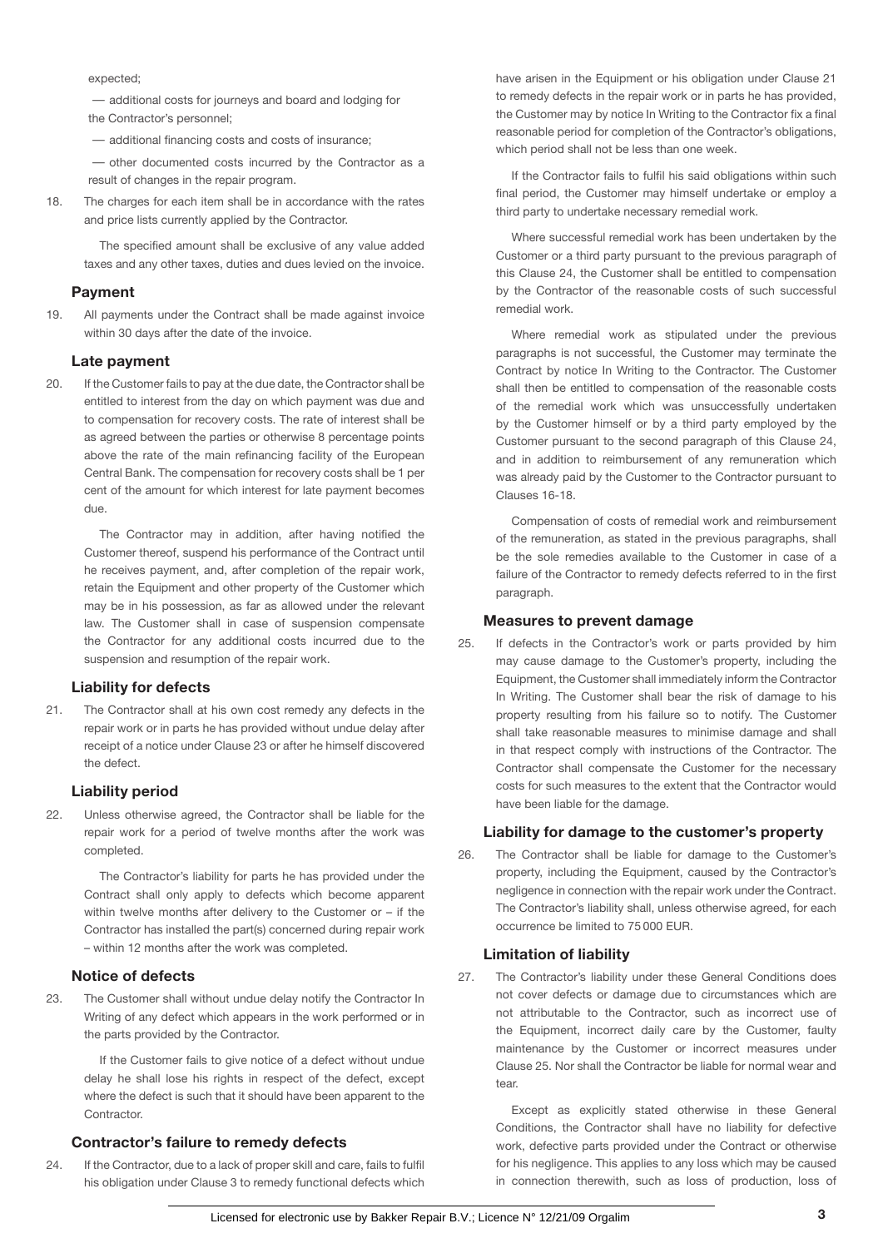expected;

— additional costs for journeys and board and lodging for the Contractor's personnel;

— additional financing costs and costs of insurance;

— other documented costs incurred by the Contractor as a result of changes in the repair program.

18. The charges for each item shall be in accordance with the rates and price lists currently applied by the Contractor.

> The specified amount shall be exclusive of any value added taxes and any other taxes, duties and dues levied on the invoice.

### **Payment**

19. All payments under the Contract shall be made against invoice within 30 days after the date of the invoice.

#### **Late payment**

20. If the Customer fails to pay at the due date, the Contractor shall be entitled to interest from the day on which payment was due and to compensation for recovery costs. The rate of interest shall be as agreed between the parties or otherwise 8 percentage points above the rate of the main refinancing facility of the European Central Bank. The compensation for recovery costs shall be 1 per cent of the amount for which interest for late payment becomes due.

The Contractor may in addition, after having notified the Customer thereof, suspend his performance of the Contract until he receives payment, and, after completion of the repair work, retain the Equipment and other property of the Customer which may be in his possession, as far as allowed under the relevant law. The Customer shall in case of suspension compensate the Contractor for any additional costs incurred due to the suspension and resumption of the repair work.

# **Liability for defects**

21. The Contractor shall at his own cost remedy any defects in the repair work or in parts he has provided without undue delay after receipt of a notice under Clause 23 or after he himself discovered the defect.

### **Liability period**

22. Unless otherwise agreed, the Contractor shall be liable for the repair work for a period of twelve months after the work was completed.

The Contractor's liability for parts he has provided under the Contract shall only apply to defects which become apparent within twelve months after delivery to the Customer or – if the Contractor has installed the part(s) concerned during repair work – within 12 months after the work was completed.

### **Notice of defects**

23. The Customer shall without undue delay notify the Contractor In Writing of any defect which appears in the work performed or in the parts provided by the Contractor.

> If the Customer fails to give notice of a defect without undue delay he shall lose his rights in respect of the defect, except where the defect is such that it should have been apparent to the Contractor.

# **Contractor's failure to remedy defects**

24. If the Contractor, due to a lack of proper skill and care, fails to fulfil his obligation under Clause 3 to remedy functional defects which

have arisen in the Equipment or his obligation under Clause 21 to remedy defects in the repair work or in parts he has provided, the Customer may by notice In Writing to the Contractor fix a final reasonable period for completion of the Contractor's obligations, which period shall not be less than one week.

If the Contractor fails to fulfil his said obligations within such final period, the Customer may himself undertake or employ a third party to undertake necessary remedial work.

Where successful remedial work has been undertaken by the Customer or a third party pursuant to the previous paragraph of this Clause 24, the Customer shall be entitled to compensation by the Contractor of the reasonable costs of such successful remedial work.

Where remedial work as stipulated under the previous paragraphs is not successful, the Customer may terminate the Contract by notice In Writing to the Contractor. The Customer shall then be entitled to compensation of the reasonable costs of the remedial work which was unsuccessfully undertaken by the Customer himself or by a third party employed by the Customer pursuant to the second paragraph of this Clause 24, and in addition to reimbursement of any remuneration which was already paid by the Customer to the Contractor pursuant to Clauses 16-18.

Compensation of costs of remedial work and reimbursement of the remuneration, as stated in the previous paragraphs, shall be the sole remedies available to the Customer in case of a failure of the Contractor to remedy defects referred to in the first paragraph.

#### **Measures to prevent damage**

25. If defects in the Contractor's work or parts provided by him may cause damage to the Customer's property, including the Equipment, the Customer shall immediately inform the Contractor In Writing. The Customer shall bear the risk of damage to his property resulting from his failure so to notify. The Customer shall take reasonable measures to minimise damage and shall in that respect comply with instructions of the Contractor. The Contractor shall compensate the Customer for the necessary costs for such measures to the extent that the Contractor would have been liable for the damage.

# **Liability for damage to the customer's property**

26. The Contractor shall be liable for damage to the Customer's property, including the Equipment, caused by the Contractor's negligence in connection with the repair work under the Contract. The Contractor's liability shall, unless otherwise agreed, for each occurrence be limited to 75 000 EUR.

# **Limitation of liability**

27. The Contractor's liability under these General Conditions does not cover defects or damage due to circumstances which are not attributable to the Contractor, such as incorrect use of the Equipment, incorrect daily care by the Customer, faulty maintenance by the Customer or incorrect measures under Clause 25. Nor shall the Contractor be liable for normal wear and tear

Except as explicitly stated otherwise in these General Conditions, the Contractor shall have no liability for defective work, defective parts provided under the Contract or otherwise for his negligence. This applies to any loss which may be caused in connection therewith, such as loss of production, loss of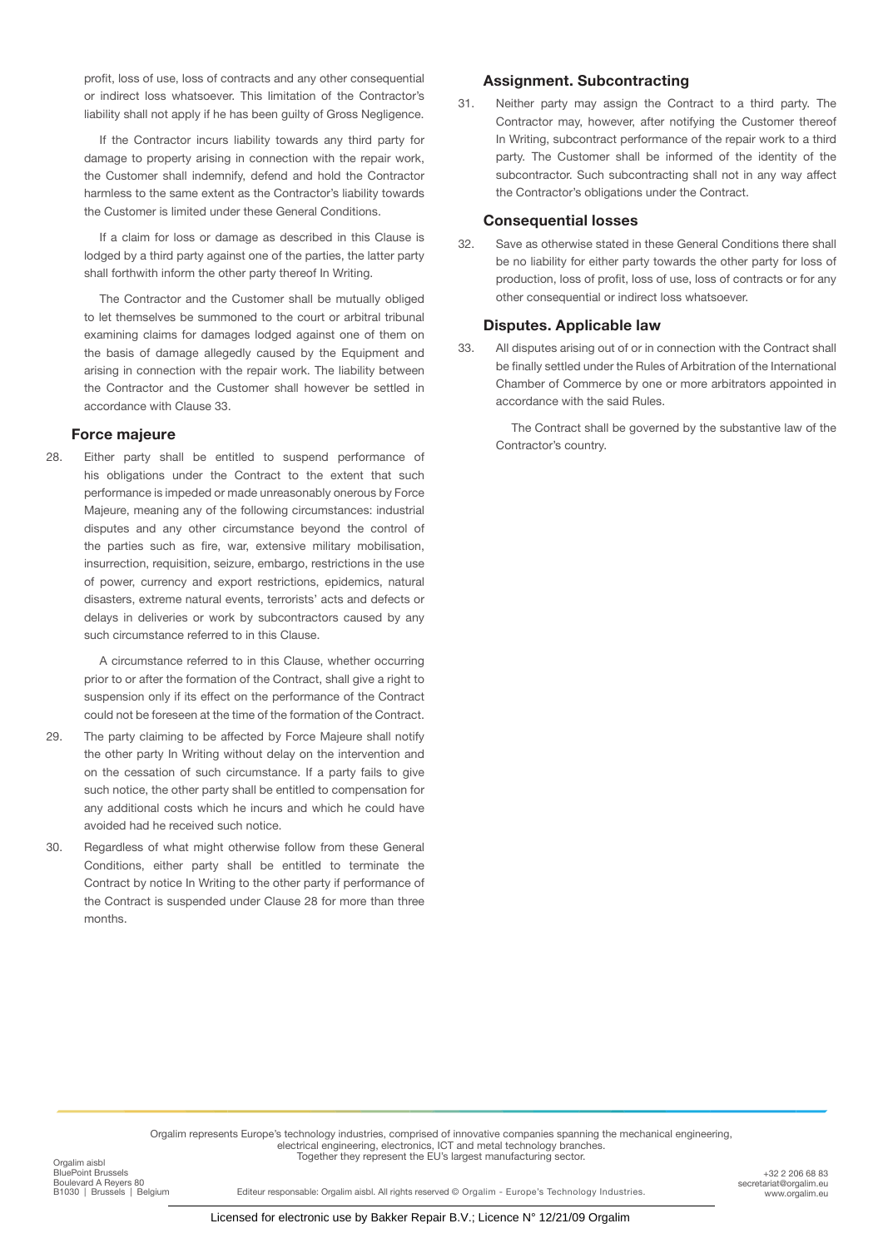profit, loss of use, loss of contracts and any other consequential or indirect loss whatsoever. This limitation of the Contractor's liability shall not apply if he has been quilty of Gross Negligence.

If the Contractor incurs liability towards any third party for damage to property arising in connection with the repair work, the Customer shall indemnify, defend and hold the Contractor harmless to the same extent as the Contractor's liability towards the Customer is limited under these General Conditions.

If a claim for loss or damage as described in this Clause is lodged by a third party against one of the parties, the latter party shall forthwith inform the other party thereof In Writing.

The Contractor and the Customer shall be mutually obliged to let themselves be summoned to the court or arbitral tribunal examining claims for damages lodged against one of them on the basis of damage allegedly caused by the Equipment and arising in connection with the repair work. The liability between the Contractor and the Customer shall however be settled in accordance with Clause 33.

# **Force majeure**

28. Either party shall be entitled to suspend performance of his obligations under the Contract to the extent that such performance is impeded or made unreasonably onerous by Force Majeure, meaning any of the following circumstances: industrial disputes and any other circumstance beyond the control of the parties such as fire, war, extensive military mobilisation, insurrection, requisition, seizure, embargo, restrictions in the use of power, currency and export restrictions, epidemics, natural disasters, extreme natural events, terrorists' acts and defects or delays in deliveries or work by subcontractors caused by any such circumstance referred to in this Clause.

A circumstance referred to in this Clause, whether occurring prior to or after the formation of the Contract, shall give a right to suspension only if its effect on the performance of the Contract could not be foreseen at the time of the formation of the Contract.

- 29. The party claiming to be affected by Force Majeure shall notify the other party In Writing without delay on the intervention and on the cessation of such circumstance. If a party fails to give such notice, the other party shall be entitled to compensation for any additional costs which he incurs and which he could have avoided had he received such notice.
- 30. Regardless of what might otherwise follow from these General Conditions, either party shall be entitled to terminate the Contract by notice In Writing to the other party if performance of the Contract is suspended under Clause 28 for more than three months.

# **Assignment. Subcontracting**

31. Neither party may assign the Contract to a third party. The Contractor may, however, after notifying the Customer thereof In Writing, subcontract performance of the repair work to a third party. The Customer shall be informed of the identity of the subcontractor. Such subcontracting shall not in any way affect the Contractor's obligations under the Contract.

# **Consequential losses**

32. Save as otherwise stated in these General Conditions there shall be no liability for either party towards the other party for loss of production, loss of profit, loss of use, loss of contracts or for any other consequential or indirect loss whatsoever.

### **Disputes. Applicable law**

33. All disputes arising out of or in connection with the Contract shall be finally settled under the Rules of Arbitration of the International Chamber of Commerce by one or more arbitrators appointed in accordance with the said Rules.

The Contract shall be governed by the substantive law of the Contractor's country.

Orgalim represents Europe's technology industries, comprised of innovative companies spanning the mechanical engineering,<br>electrical engineering, electronics, ICT and metal technology branches. Together they represent the EU's largest manufacturing sector. Orgalim aisbl